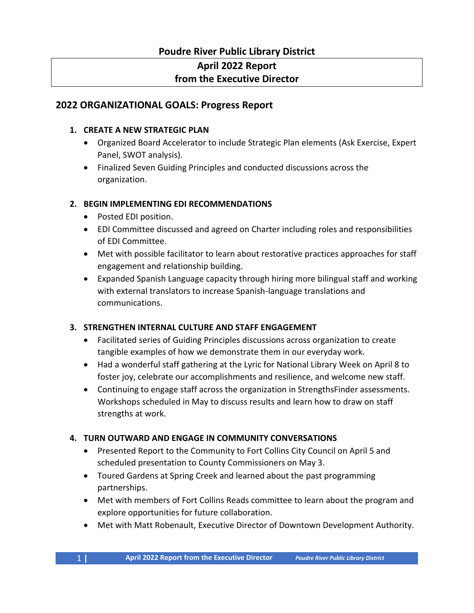## **Poudre River Public Library District**

# **April 2022 Report**

## **from the Executive Director**

## **2022 ORGANIZATIONAL GOALS: Progress Report**

#### **1. CREATE A NEW STRATEGIC PLAN**

- Organized Board Accelerator to include Strategic Plan elements (Ask Exercise, Expert Panel, SWOT analysis).
- Finalized Seven Guiding Principles and conducted discussions across the organization.

### **2. BEGIN IMPLEMENTING EDI RECOMMENDATIONS**

- Posted EDI position.
- EDI Committee discussed and agreed on Charter including roles and responsibilities of EDI Committee.
- Met with possible facilitator to learn about restorative practices approaches for staff engagement and relationship building.
- Expanded Spanish Language capacity through hiring more bilingual staff and working with external translators to increase Spanish-language translations and communications.

### **3. STRENGTHEN INTERNAL CULTURE AND STAFF ENGAGEMENT**

- Facilitated series of Guiding Principles discussions across organization to create tangible examples of how we demonstrate them in our everyday work.
- Had a wonderful staff gathering at the Lyric for National Library Week on April 8 to foster joy, celebrate our accomplishments and resilience, and welcome new staff.
- Continuing to engage staff across the organization in StrengthsFinder assessments. Workshops scheduled in May to discuss results and learn how to draw on staff strengths at work.

### **4. TURN OUTWARD AND ENGAGE IN COMMUNITY CONVERSATIONS**

- Presented Report to the Community to Fort Collins City Council on April 5 and scheduled presentation to County Commissioners on May 3.
- Toured Gardens at Spring Creek and learned about the past programming partnerships.
- Met with members of Fort Collins Reads committee to learn about the program and explore opportunities for future collaboration.
- Met with Matt Robenault, Executive Director of Downtown Development Authority.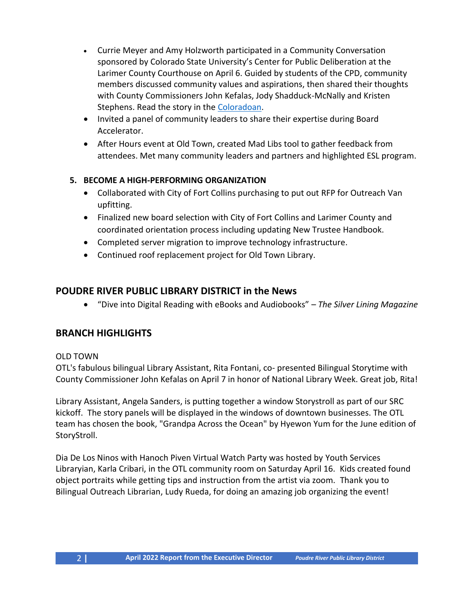- Currie Meyer and Amy Holzworth participated in a Community Conversation sponsored by Colorado State University's Center for Public Deliberation at the Larimer County Courthouse on April 6. Guided by students of the CPD, community members discussed community values and aspirations, then shared their thoughts with County Commissioners John Kefalas, Jody Shadduck-McNally and Kristen Stephens. Read the story in the [Coloradoan.](https://www.coloradoan.com/story/news/2022/04/01/larimer-county-colorado-state-university-host-discussion-division/7229871001/)
- Invited a panel of community leaders to share their expertise during Board Accelerator.
- After Hours event at Old Town, created Mad Libs tool to gather feedback from attendees. Met many community leaders and partners and highlighted ESL program.

#### **5. BECOME A HIGH-PERFORMING ORGANIZATION**

- Collaborated with City of Fort Collins purchasing to put out RFP for Outreach Van upfitting.
- Finalized new board selection with City of Fort Collins and Larimer County and coordinated orientation process including updating New Trustee Handbook.
- Completed server migration to improve technology infrastructure.
- Continued roof replacement project for Old Town Library.

#### **POUDRE RIVER PUBLIC LIBRARY DISTRICT in the News**

• "Dive into Digital Reading with eBooks and Audiobooks" – *The Silver Lining Magazine*

#### **BRANCH HIGHLIGHTS**

#### OLD TOWN

OTL's fabulous bilingual Library Assistant, Rita Fontani, co- presented Bilingual Storytime with County Commissioner John Kefalas on April 7 in honor of National Library Week. Great job, Rita!

Library Assistant, Angela Sanders, is putting together a window Storystroll as part of our SRC kickoff. The story panels will be displayed in the windows of downtown businesses. The OTL team has chosen the book, "Grandpa Across the Ocean" by Hyewon Yum for the June edition of StoryStroll.

Dia De Los Ninos with Hanoch Piven Virtual Watch Party was hosted by Youth Services Libraryian, Karla Cribari, in the OTL community room on Saturday April 16. Kids created found object portraits while getting tips and instruction from the artist via zoom. Thank you to Bilingual Outreach Librarian, Ludy Rueda, for doing an amazing job organizing the event!